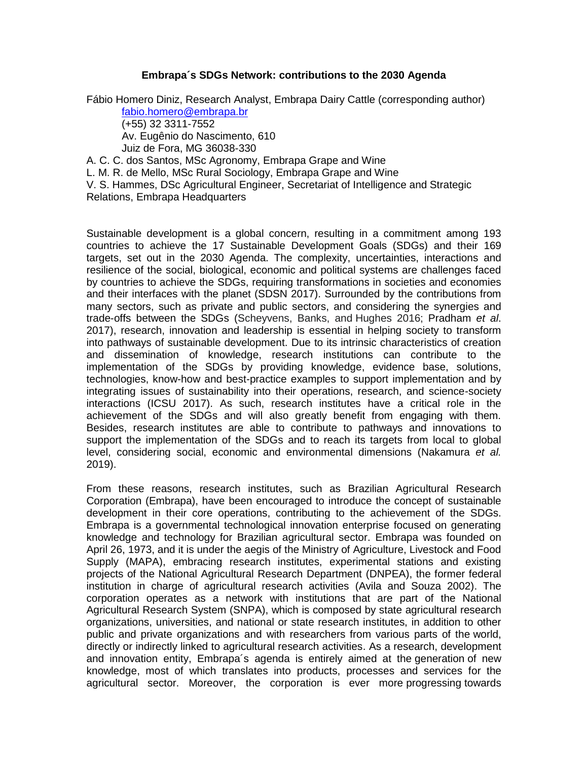## **Embrapa´s SDGs Network: contributions to the 2030 Agenda**

Fábio Homero Diniz, Research Analyst, Embrapa Dairy Cattle (corresponding author) [fabio.homero@embrapa.br](mailto:fabio.homero@embrapa.br)

(+55) 32 3311-7552

Av. Eugênio do Nascimento, 610

Juiz de Fora, MG 36038-330

A. C. C. dos Santos, MSc Agronomy, Embrapa Grape and Wine

L. M. R. de Mello, MSc Rural Sociology, Embrapa Grape and Wine

V. S. Hammes, DSc Agricultural Engineer, Secretariat of Intelligence and Strategic Relations, Embrapa Headquarters

Sustainable development is a global concern, resulting in a commitment among 193 countries to achieve the 17 Sustainable Development Goals (SDGs) and their 169 targets, set out in the 2030 Agenda. The complexity, uncertainties, interactions and resilience of the social, biological, economic and political systems are challenges faced by countries to achieve the SDGs, requiring transformations in societies and economies and their interfaces with the planet (SDSN 2017). Surrounded by the contributions from many sectors, such as private and public sectors, and considering the synergies and trade-offs between the SDGs (Scheyvens, Banks, and Hughes 2016; Pradham *et al*. 2017), research, innovation and leadership is essential in helping society to transform into pathways of sustainable development. Due to its intrinsic characteristics of creation and dissemination of knowledge, research institutions can contribute to the implementation of the SDGs by providing knowledge, evidence base, solutions, technologies, know-how and best-practice examples to support implementation and by integrating issues of sustainability into their operations, research, and science-society interactions (ICSU 2017). As such, research institutes have a critical role in the achievement of the SDGs and will also greatly benefit from engaging with them. Besides, research institutes are able to contribute to pathways and innovations to support the implementation of the SDGs and to reach its targets from local to global level, considering social, economic and environmental dimensions (Nakamura *et al.* 2019).

From these reasons, research institutes, such as Brazilian Agricultural Research Corporation (Embrapa), have been encouraged to introduce the concept of sustainable development in their core operations, contributing to the achievement of the SDGs. Embrapa is a governmental technological innovation enterprise focused on generating knowledge and technology for Brazilian agricultural sector. Embrapa was founded on April 26, 1973, and it is under the aegis of the Ministry of Agriculture, Livestock and Food Supply (MAPA), embracing research institutes, experimental stations and existing projects of the National Agricultural Research Department (DNPEA), the former federal institution in charge of agricultural research activities (Avila and Souza 2002). The corporation operates as a network with institutions that are part of the National Agricultural Research System (SNPA), which is composed by state agricultural research organizations, universities, and national or state research institutes, in addition to other public and private organizations and with researchers from various parts of the [world,](https://www.embrapa.br/atuacao-internacional) directly or indirectly linked to agricultural research activities. As a research, development and innovation entity, Embrapa´s agenda is entirely aimed at the generation of new knowledge, most of which translates into products, processes and services for the agricultural sector. Moreover, the corporation is ever more progressing towards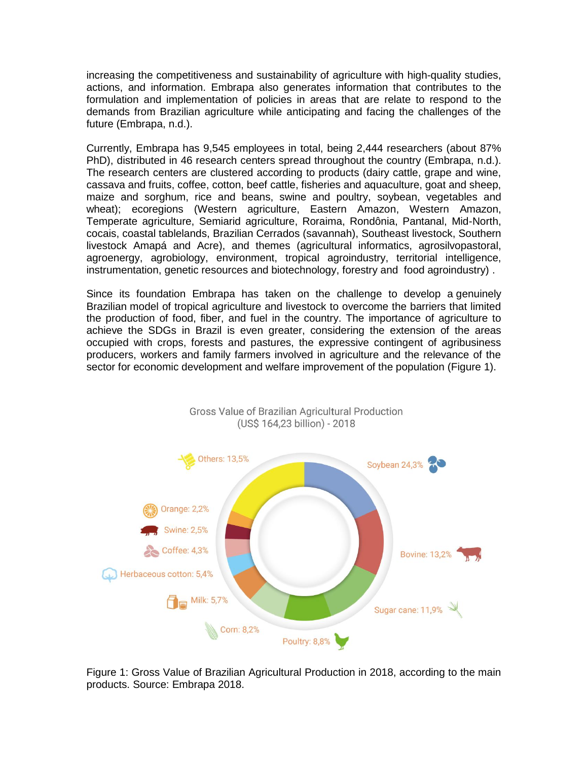increasing the competitiveness and sustainability of agriculture with high-quality studies, actions, and information. Embrapa also generates information that contributes to the formulation and implementation of policies in areas that are relate to respond to the demands from Brazilian agriculture while anticipating and facing the challenges of the future (Embrapa, n.d.).

Currently, Embrapa has 9,545 employees in total, being 2,444 researchers (about 87% PhD), distributed in 46 research centers spread throughout the country (Embrapa, n.d.). The research centers are clustered according to products (dairy cattle, grape and wine, cassava and fruits, coffee, cotton, beef cattle, fisheries and aquaculture, goat and sheep, maize and sorghum, rice and beans, swine and poultry, soybean, vegetables and wheat); ecoregions (Western agriculture, Eastern Amazon, Western Amazon, Temperate agriculture, Semiarid agriculture, Roraima, Rondônia, Pantanal, Mid-North, cocais, coastal tablelands, Brazilian Cerrados (savannah), Southeast livestock, Southern livestock Amapá and Acre), and themes (agricultural informatics, agrosilvopastoral, agroenergy, agrobiology, environment, tropical agroindustry, territorial intelligence, instrumentation, genetic resources and biotechnology, forestry and food agroindustry) .

Since its foundation Embrapa has taken on the challenge to develop a genuinely Brazilian model of tropical agriculture and livestock to overcome the barriers that limited the production of food, fiber, and fuel in the country. The importance of agriculture to achieve the SDGs in Brazil is even greater, considering the extension of the areas occupied with crops, forests and pastures, the expressive contingent of agribusiness producers, workers and family farmers involved in agriculture and the relevance of the sector for economic development and welfare improvement of the population (Figure 1).



Figure 1: Gross Value of Brazilian Agricultural Production in 2018, according to the main products. Source: Embrapa 2018.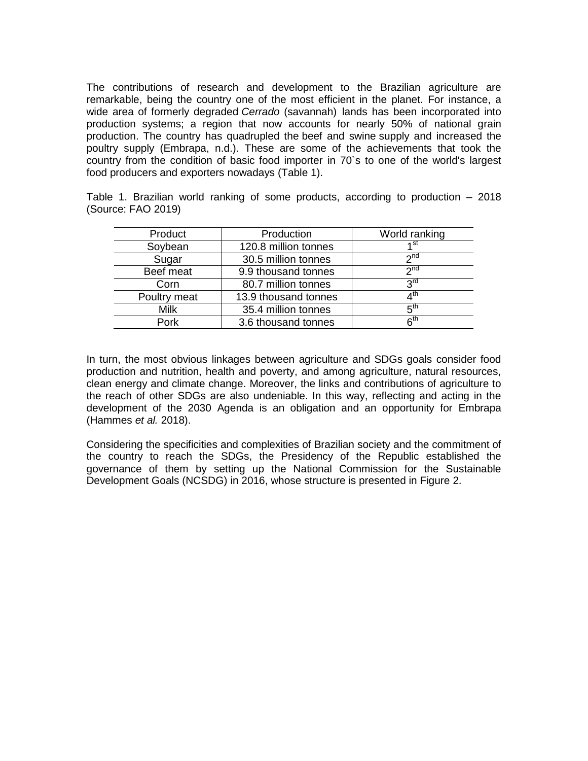The contributions of research and development to the Brazilian agriculture are remarkable, being the country one of the most efficient in the planet. For instance, a wide area of formerly degraded *Cerrado* (savannah) lands has been incorporated into production systems; a region that now accounts for nearly 50% of national grain production. The country has quadrupled the beef and swine supply and increased the poultry supply (Embrapa, n.d.). These are some of the achievements that took the country from the condition of basic food importer in 70`s to one of the world's largest food producers and exporters nowadays (Table 1).

Table 1. Brazilian world ranking of some products, according to production – 2018 (Source: FAO 2019)

| Product      | Production           | World ranking   |
|--------------|----------------------|-----------------|
| Soybean      | 120.8 million tonnes | 1st             |
| Sugar        | 30.5 million tonnes  | 2 <sub>nd</sub> |
| Beef meat    | 9.9 thousand tonnes  | 2 <sub>nd</sub> |
| Corn         | 80.7 million tonnes  | <b>2rd</b>      |
| Poultry meat | 13.9 thousand tonnes | $A^{\text{th}}$ |
| <b>Milk</b>  | 35.4 million tonnes  | 5 <sup>th</sup> |
| Pork         | 3.6 thousand tonnes  | 6 <sup>th</sup> |

In turn, the most obvious linkages between agriculture and SDGs goals consider food production and nutrition, health and poverty, and among agriculture, natural resources, clean energy and climate change. Moreover, the links and contributions of agriculture to the reach of other SDGs are also undeniable. In this way, reflecting and acting in the development of the 2030 Agenda is an obligation and an opportunity for Embrapa (Hammes *et al.* 2018).

Considering the specificities and complexities of Brazilian society and the commitment of the country to reach the SDGs, the Presidency of the Republic established the governance of them by setting up the [National Commission for the Sustainable](http://www4.planalto.gov.br/ods/menu-de-relevancia/comissao-ods)  [Development Goals](http://www4.planalto.gov.br/ods/menu-de-relevancia/comissao-ods) (NCSDG) in 2016, whose structure is presented in Figure 2.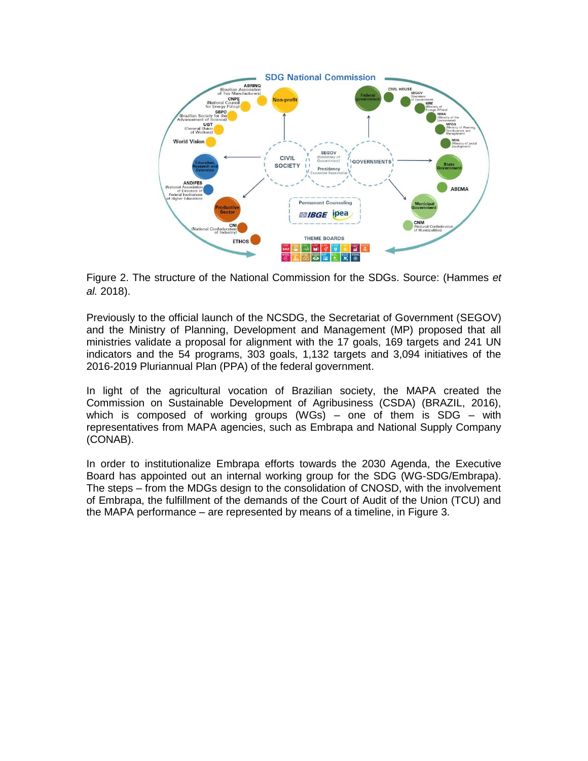

Figure 2. The structure of the National Commission for the SDGs. Source: (Hammes *et al.* 2018).

Previously to the official launch of the NCSDG, the Secretariat of Government (SEGOV) and the Ministry of Planning, Development and Management (MP) proposed that all ministries validate a proposal for alignment with the 17 goals, 169 targets and 241 UN indicators and the 54 programs, 303 goals, 1,132 targets and 3,094 initiatives of the [2016-2019 Pluriannual Plan \(PPA\) of the federal government.](http://www.planejamento.gov.br/assuntos/planeja/plano-plurianual)

In light of the agricultural vocation of Brazilian society, the MAPA created the [Commission on Sustainable Development of Agribusiness \(CSDA\)](http://pesquisa.in.gov.br/imprensa/jsp/visualiza/index.jsp?jornal=1&pagina=5&data=05/09/2016) (BRAZIL, 2016), which is composed of working groups (WGs) – one of them is SDG – with representatives from MAPA agencies, such as Embrapa and National Supply Company (CONAB).

In order to institutionalize Embrapa efforts towards the 2030 Agenda, the Executive Board has appointed out an internal working group for the SDG (WG-SDG/Embrapa). The steps – from the MDGs design to the consolidation of CNOSD, with the involvement of Embrapa, the fulfillment of the demands of the Court of Audit of the Union (TCU) and the MAPA performance – are represented by means of a timeline, in Figure 3.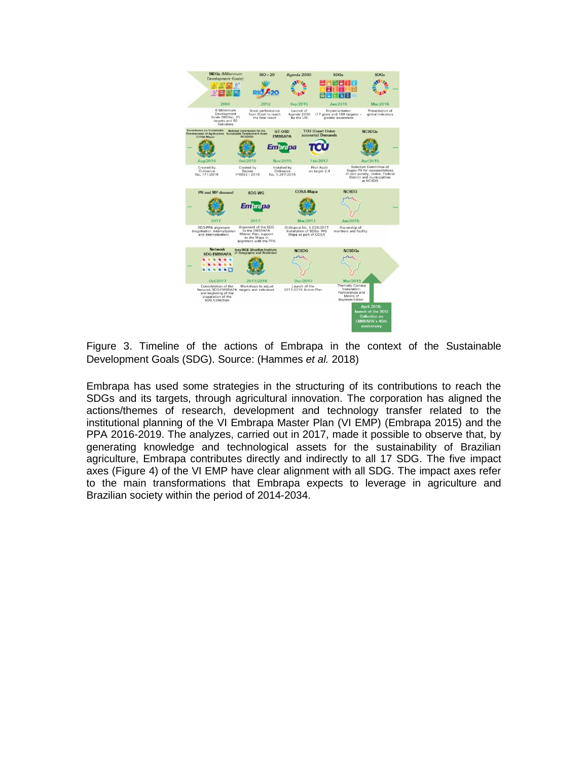

Figure 3. Timeline of the actions of Embrapa in the context of the Sustainable Development Goals (SDG). Source: (Hammes *et al.* 2018)

Embrapa has used some strategies in the structuring of its contributions to reach the SDGs and its targets, through agricultural innovation. The corporation has aligned the actions/themes of research, development and technology transfer related to the institutional planning of the VI [Embrapa Master Plan \(VI EMP\)](https://www.embrapa.br/plano-diretor) (Embrapa 2015) and the PPA 2016-2019. The analyzes, carried out in 2017, made it possible to observe that, by generating knowledge and technological assets for the sustainability of Brazilian agriculture, Embrapa contributes directly and indirectly to all 17 SDG. The five impact axes (Figure 4) of the VI EMP have clear alignment with all SDG. The impact axes refer to the main transformations that Embrapa expects to leverage in agriculture and Brazilian society within the period of 2014-2034.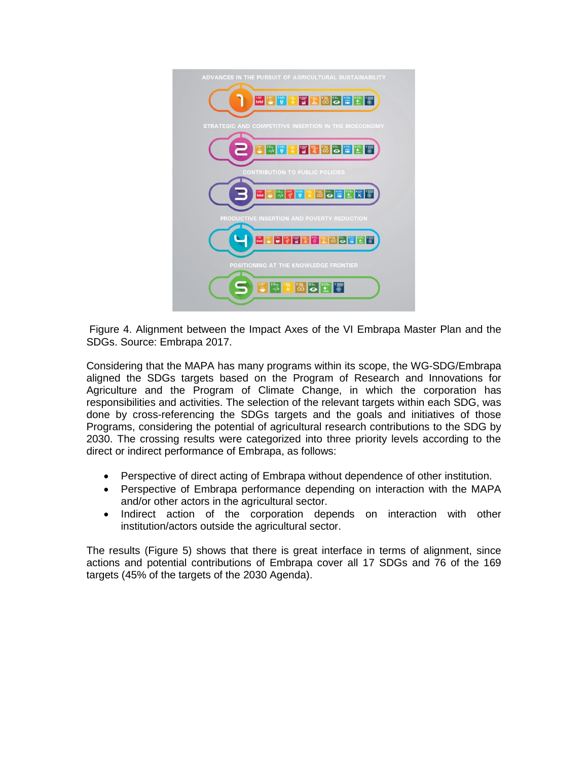

Figure 4. Alignment between the Impact Axes of the VI Embrapa Master Plan and the SDGs. Source: Embrapa 2017.

Considering that the MAPA has many programs within its scope, the WG-SDG/Embrapa aligned the SDGs targets based on the [Program o](http://www.agricultura.gov.br/acesso-a-informacao/acoes-e-programas/ppa/programa-2042)f Research and Innovations for Agriculture and the [Program](http://www.mma.gov.br/images/arquivos/acesso_informacao/Acoes%20e%20Programas/3.1_Mudanca_do_clima_2050.pdf) of Climate Change, in which the corporation has responsibilities and activities. The selection of the relevant targets within each SDG, was done by cross-referencing the SDGs targets and the goals and initiatives of those Programs, considering the potential of agricultural research contributions to the SDG by 2030. The crossing results were categorized into three priority levels according to the direct or indirect performance of Embrapa, as follows:

- Perspective of direct acting of Embrapa without dependence of other institution.
- Perspective of Embrapa performance depending on interaction with the MAPA and/or other actors in the agricultural sector.
- Indirect action of the corporation depends on interaction with other institution/actors outside the agricultural sector.

The results (Figure 5) shows that there is great interface in terms of alignment, since actions and potential contributions of Embrapa cover all 17 SDGs and 76 of the 169 targets (45% of the targets of the 2030 Agenda).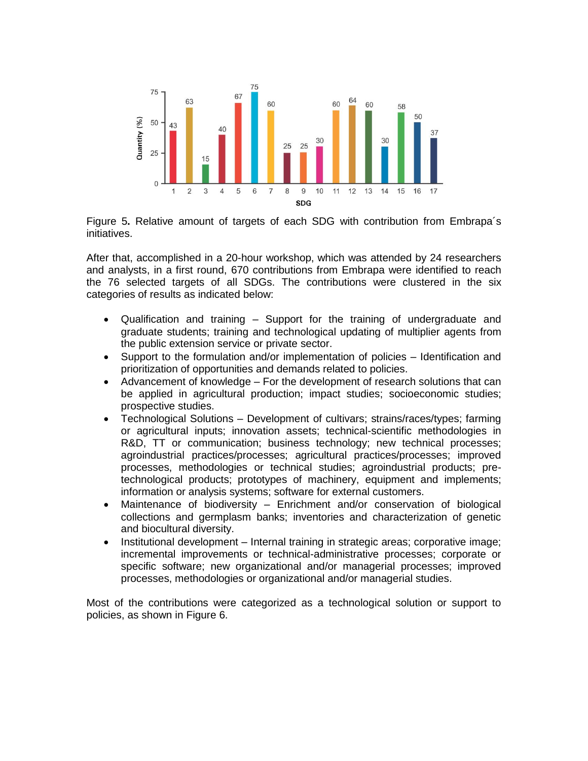

Figure 5**.** Relative amount of targets of each SDG with contribution from Embrapa´s initiatives.

After that, accomplished in a 20-hour workshop, which was attended by 24 researchers and analysts, in a first round, 670 contributions from Embrapa were identified to reach the 76 selected targets of all SDGs. The contributions were clustered in the six categories of results as indicated below:

- Qualification and training Support for the training of undergraduate and graduate students; training and technological updating of multiplier agents from the public extension service or private sector.
- Support to the formulation and/or implementation of policies Identification and prioritization of opportunities and demands related to policies.
- Advancement of knowledge For the development of research solutions that can be applied in agricultural production; impact studies; socioeconomic studies; prospective studies.
- Technological Solutions Development of cultivars; strains/races/types; farming or agricultural inputs; innovation assets; technical-scientific methodologies in R&D, TT or communication; business technology; new technical processes; agroindustrial practices/processes; agricultural practices/processes; improved processes, methodologies or technical studies; agroindustrial products; pretechnological products; prototypes of machinery, equipment and implements; information or analysis systems; software for external customers.
- Maintenance of biodiversity Enrichment and/or conservation of biological collections and germplasm banks; inventories and characterization of genetic and biocultural diversity.
- Institutional development Internal training in strategic areas; corporative image; incremental improvements or technical-administrative processes; corporate or specific software; new organizational and/or managerial processes; improved processes, methodologies or organizational and/or managerial studies.

Most of the contributions were categorized as a technological solution or support to policies, as shown in Figure 6.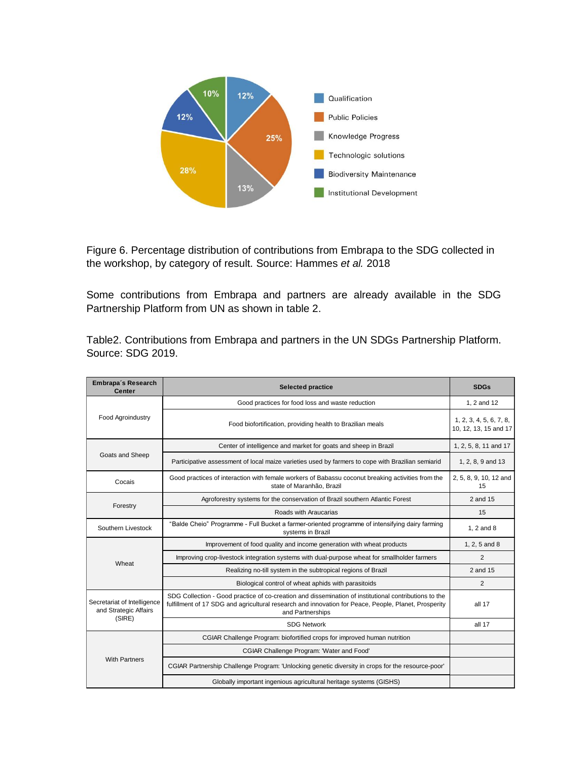

Figure 6. Percentage distribution of contributions from Embrapa to the SDG collected in the workshop, by category of result. Source: Hammes *et al.* 2018

Some contributions from Embrapa and partners are already available in the SDG Partnership Platform from UN as shown in table 2.

Table2. Contributions from Embrapa and partners in the UN SDGs Partnership Platform. Source: SDG 2019.

| Embrapa's Research<br><b>Center</b>                            | <b>Selected practice</b>                                                                                                                                                                                                          | <b>SDGs</b>                                      |
|----------------------------------------------------------------|-----------------------------------------------------------------------------------------------------------------------------------------------------------------------------------------------------------------------------------|--------------------------------------------------|
| <b>Food Agroindustry</b>                                       | Good practices for food loss and waste reduction                                                                                                                                                                                  | 1. 2 and 12                                      |
|                                                                | Food biofortification, providing health to Brazilian meals                                                                                                                                                                        | 1, 2, 3, 4, 5, 6, 7, 8,<br>10, 12, 13, 15 and 17 |
| Goats and Sheep                                                | Center of intelligence and market for goats and sheep in Brazil                                                                                                                                                                   | 1, 2, 5, 8, 11 and 17                            |
|                                                                | Participative assessment of local maize varieties used by farmers to cope with Brazilian semiarid                                                                                                                                 | 1, 2, 8, 9 and 13                                |
| Cocais                                                         | Good practices of interaction with female workers of Babassu coconut breaking activities from the<br>state of Maranhão, Brazil                                                                                                    | 2, 5, 8, 9, 10, 12 and<br>15                     |
| Forestry                                                       | Agroforestry systems for the conservation of Brazil southern Atlantic Forest                                                                                                                                                      | 2 and 15                                         |
|                                                                | Roads with Araucarias                                                                                                                                                                                                             | 15                                               |
| Southern Livestock                                             | "Balde Cheio" Programme - Full Bucket a farmer-oriented programme of intensifying dairy farming<br>systems in Brazil                                                                                                              | 1, 2 and 8                                       |
| Wheat                                                          | Improvement of food quality and income generation with wheat products                                                                                                                                                             | 1, 2, 5 and 8                                    |
|                                                                | Improving crop-livestock integration systems with dual-purpose wheat for smallholder farmers                                                                                                                                      | 2                                                |
|                                                                | Realizing no-till system in the subtropical regions of Brazil                                                                                                                                                                     | 2 and 15                                         |
|                                                                | Biological control of wheat aphids with parasitoids                                                                                                                                                                               | $\overline{2}$                                   |
| Secretariat of Intelligence<br>and Strategic Affairs<br>(SIRE) | SDG Collection - Good practice of co-creation and dissemination of institutional contributions to the<br>fulfillment of 17 SDG and agricultural research and innovation for Peace, People, Planet, Prosperity<br>and Partnerships | all 17                                           |
|                                                                | <b>SDG Network</b>                                                                                                                                                                                                                | all 17                                           |
| <b>With Partners</b>                                           | CGIAR Challenge Program: biofortified crops for improved human nutrition                                                                                                                                                          |                                                  |
|                                                                | CGIAR Challenge Program: 'Water and Food'                                                                                                                                                                                         |                                                  |
|                                                                | CGIAR Partnership Challenge Program: 'Unlocking genetic diversity in crops for the resource-poor'                                                                                                                                 |                                                  |
|                                                                | Globally important ingenious agricultural heritage systems (GISHS)                                                                                                                                                                |                                                  |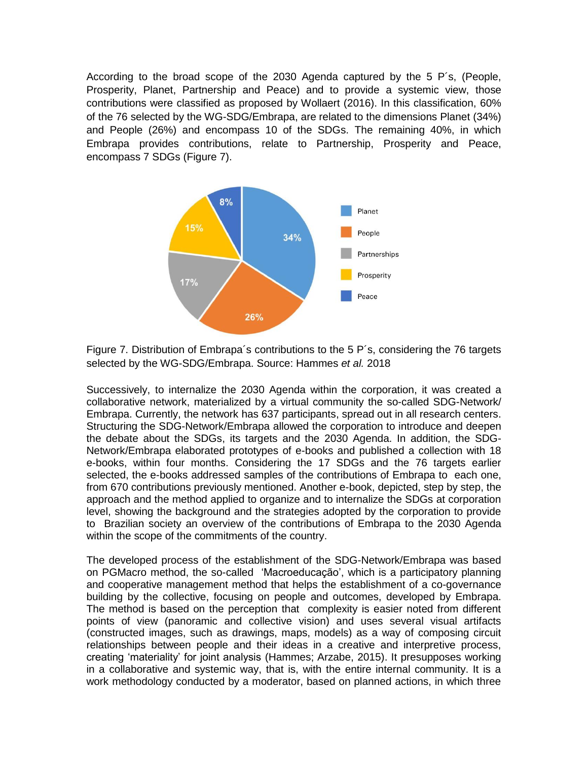According to the broad scope of the 2030 Agenda captured by the [5 P´s, \(People,](https://nacoesunidas.org/pos2015/agenda2030/)  [Prosperity, Planet, Partnership and Peace\)](https://nacoesunidas.org/pos2015/agenda2030/) and to provide a systemic view, those contributions were classified as proposed by Wollaert (2016). In this classification, 60% of the 76 selected by the WG-SDG/Embrapa, are related to the dimensions Planet (34%) and People (26%) and encompass 10 of the SDGs. The remaining 40%, in which Embrapa provides contributions, relate to Partnership, Prosperity and Peace, encompass 7 SDGs (Figure 7).



Figure 7. Distribution of Embrapa´s contributions to the 5 P´s, considering the 76 targets selected by the WG-SDG/Embrapa. Source: Hammes *et al.* 2018

Successively, to internalize the 2030 Agenda within the corporation, it was created a collaborative network, materialized by a virtual community the so-called SDG-Network/ Embrapa. Currently, the network has 637 participants, spread out in all research centers. Structuring the SDG-Network/Embrapa allowed the corporation to introduce and deepen the debate about the SDGs, its targets and the 2030 Agenda. In addition, the SDG-Network/Embrapa elaborated prototypes of e-books and published a collection with 18 e-books, within four months. Considering the 17 SDGs and the 76 targets earlier selected, the e-books addressed samples of the contributions of Embrapa to each one, from 670 contributions previously mentioned. Another e-book, depicted, step by step, the approach and the method applied to organize and to internalize the SDGs at corporation level, showing the background and the strategies adopted by the corporation to provide to Brazilian society an overview of the contributions of Embrapa to the 2030 Agenda within the scope of the commitments of the country.

The developed process of the establishment of the SDG-Network/Embrapa was based on PGMacro method, the so-called 'Macroeducação', which is a participatory planning and cooperative management method that helps the establishment of a co-governance building by the collective, focusing on people and outcomes, developed by Embrapa. The method is based on the perception that complexity is easier noted from different points of view (panoramic and collective vision) and uses several visual artifacts (constructed images, such as drawings, maps, models) as a way of composing circuit relationships between people and their ideas in a creative and interpretive process, creating 'materiality' for joint analysis (Hammes; Arzabe, 2015). It presupposes working in a collaborative and systemic way, that is, with the entire internal community. It is a work methodology conducted by a moderator, based on planned actions, in which three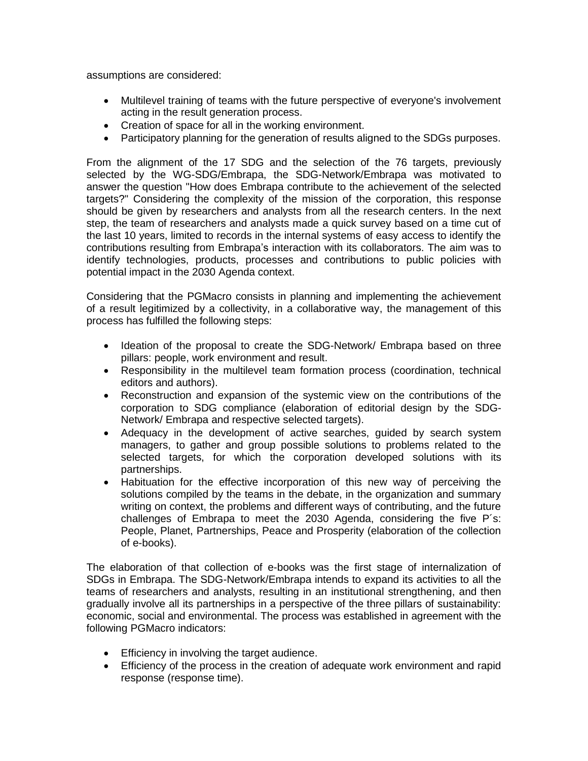assumptions are considered:

- Multilevel training of teams with the future perspective of everyone's involvement acting in the result generation process.
- Creation of space for all in the working environment.
- Participatory planning for the generation of results aligned to the SDGs purposes.

From the alignment of the 17 SDG and the selection of the 76 targets, previously selected by the WG-SDG/Embrapa, the SDG-Network/Embrapa was motivated to answer the question "How does Embrapa contribute to the achievement of the selected targets?" Considering the complexity of the mission of the corporation, this response should be given by researchers and analysts from all the research centers. In the next step, the team of researchers and analysts made a quick survey based on a time cut of the last 10 years, limited to records in the internal systems of easy access to identify the contributions resulting from Embrapa's interaction with its collaborators. The aim was to identify technologies, products, processes and contributions to public policies with potential impact in the 2030 Agenda context.

Considering that the PGMacro consists in planning and implementing the achievement of a result legitimized by a collectivity, in a collaborative way, the management of this process has fulfilled the following steps:

- Ideation of the proposal to create the SDG-Network/ Embrapa based on three pillars: people, work environment and result.
- Responsibility in the multilevel team formation process (coordination, technical editors and authors).
- Reconstruction and expansion of the systemic view on the contributions of the corporation to SDG compliance (elaboration of editorial design by the SDG-Network/ Embrapa and respective selected targets).
- Adequacy in the development of active searches, guided by search system managers, to gather and group possible solutions to problems related to the selected targets, for which the corporation developed solutions with its partnerships.
- Habituation for the effective incorporation of this new way of perceiving the solutions compiled by the teams in the debate, in the organization and summary writing on context, the problems and different ways of contributing, and the future challenges of Embrapa to meet the 2030 Agenda, considering the five P´s: People, Planet, Partnerships, Peace and Prosperity (elaboration of the collection of e-books).

The elaboration of that collection of e-books was the first stage of internalization of SDGs in Embrapa. The SDG-Network/Embrapa intends to expand its activities to all the teams of researchers and analysts, resulting in an institutional strengthening, and then gradually involve all its partnerships in a perspective of the three pillars of sustainability: economic, social and environmental. The process was established in agreement with the following PGMacro indicators:

- **Efficiency in involving the target audience.**
- Efficiency of the process in the creation of adequate work environment and rapid response (response time).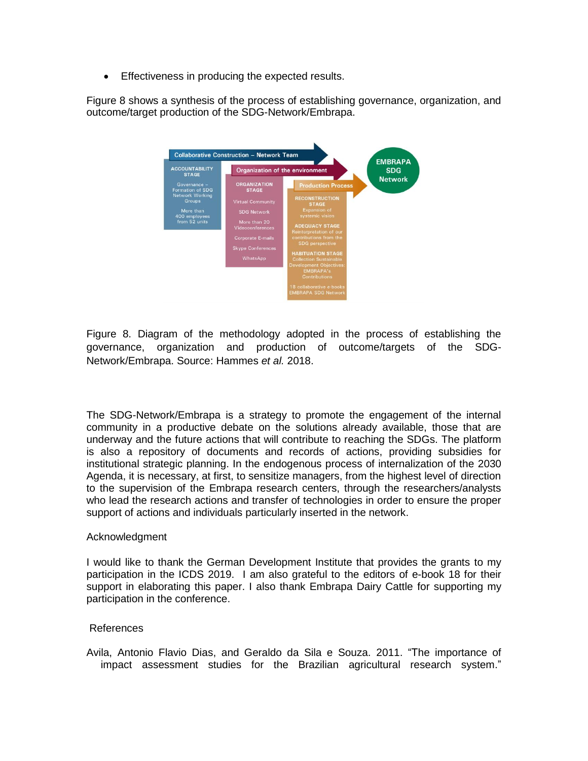**Effectiveness in producing the expected results.** 

Figure 8 shows a synthesis of the process of establishing governance, organization, and outcome/target production of the SDG-Network/Embrapa.



Figure 8. Diagram of the methodology adopted in the process of establishing the governance, organization and production of outcome/targets of the SDG-Network/Embrapa. Source: Hammes *et al.* 2018.

The SDG-Network/Embrapa is a strategy to promote the engagement of the internal community in a productive debate on the solutions already available, those that are underway and the future actions that will contribute to reaching the SDGs. The platform is also a repository of documents and records of actions, providing subsidies for institutional strategic planning. In the endogenous process of internalization of the 2030 Agenda, it is necessary, at first, to sensitize managers, from the highest level of direction to the supervision of the Embrapa research centers, through the researchers/analysts who lead the research actions and transfer of technologies in order to ensure the proper support of actions and individuals particularly inserted in the network.

## Acknowledgment

I would like to thank the German Development Institute that provides the grants to my participation in the ICDS 2019. I am also grateful to the editors of e-book 18 for their support in elaborating this paper. I also thank Embrapa Dairy Cattle for supporting my participation in the conference.

## References

Avila, Antonio Flavio Dias, and Geraldo da Sila e Souza. 2011. "The importance of impact assessment studies for the Brazilian agricultural research system."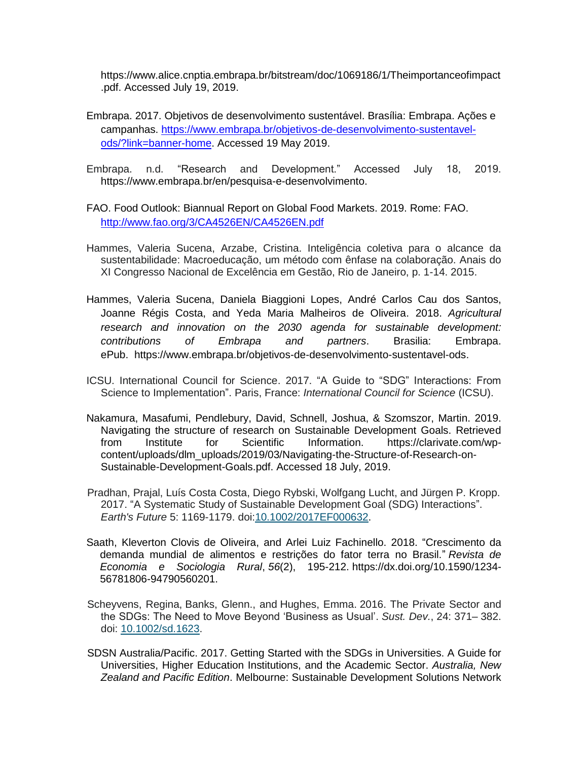https://www.alice.cnptia.embrapa.br/bitstream/doc/1069186/1/Theimportanceofimpact .pdf. Accessed July 19, 2019.

- Embrapa. 2017. Objetivos de desenvolvimento sustentável. Brasília: Embrapa. Ações e campanhas. [https://www.embrapa.br/objetivos-de-desenvolvimento-sustentavel](https://www.embrapa.br/objetivos-de-desenvolvimento-sustentavel-ods/?link=banner-hom)[ods/?link=banner-home.](https://www.embrapa.br/objetivos-de-desenvolvimento-sustentavel-ods/?link=banner-hom) Accessed 19 May 2019.
- Embrapa. n.d. "Research and Development." Accessed July 18, 2019. https://www.embrapa.br/en/pesquisa-e-desenvolvimento.
- FAO. Food Outlook: Biannual Report on Global Food Markets. 2019. Rome: FAO. <http://www.fao.org/3/CA4526EN/CA4526EN.pdf>
- Hammes, Valeria Sucena, Arzabe, Cristina. Inteligência coletiva para o alcance da sustentabilidade: Macroeducação, um método com ênfase na colaboração. Anais do XI Congresso Nacional de Excelência em Gestão, Rio de Janeiro, p. 1-14. 2015.
- Hammes, Valeria Sucena, Daniela Biaggioni Lopes, André Carlos Cau dos Santos, Joanne Régis Costa, and Yeda Maria Malheiros de Oliveira. 2018. *Agricultural research and innovation on the 2030 agenda for sustainable development: contributions of Embrapa and partners*. Brasilia: Embrapa. ePub. [https://www.embrapa.br/objetivos-de-desenvolvimento-sustentavel-ods.](https://www.embrapa.br/objetivos-de-desenvolvimento-sustentavel-ods)
- ICSU. International Council for Science. 2017. "A Guide to "SDG" Interactions: From Science to Implementation". Paris, France: *International Council for Science* (ICSU).
- Nakamura, Masafumi, Pendlebury, David, Schnell, Joshua, & Szomszor, Martin. 2019. Navigating the structure of research on Sustainable Development Goals. Retrieved from Institute for Scientific Information. https://clarivate.com/wpcontent/uploads/dlm\_uploads/2019/03/Navigating-the-Structure-of-Research-on-Sustainable-Development-Goals.pdf. Accessed 18 July, 2019.
- Pradhan, Prajal, Luís Costa Costa, Diego Rybski, Wolfgang Lucht, and Jürgen P. Kropp. 2017. "A Systematic Study of Sustainable Development Goal (SDG) Interactions". *Earth's Future* 5: 1169-1179. doi[:10.1002/2017EF000632.](https://doi.org/10.1002/2017EF000632)
- Saath, Kleverton Clovis de Oliveira, and Arlei Luiz Fachinello. 2018. "Crescimento da demanda mundial de alimentos e restrições do fator terra no Brasil." *Revista de Economia e Sociologia Rural*, *56*(2), 195-212. https://dx.doi.org/10.1590/1234- 56781806-94790560201.
- Scheyvens, Regina, Banks, Glenn., and Hughes, Emma. 2016. The Private Sector and the SDGs: The Need to Move Beyond 'Business as Usual'. *Sust. Dev.*, 24: 371– 382. doi: [10.1002/sd.1623.](https://doi.org/10.1002/sd.1623)
- SDSN Australia/Pacific. 2017. Getting Started with the SDGs in Universities. A Guide for Universities, Higher Education Institutions, and the Academic Sector. *Australia, New Zealand and Pacific Edition*. Melbourne: Sustainable Development Solutions Network